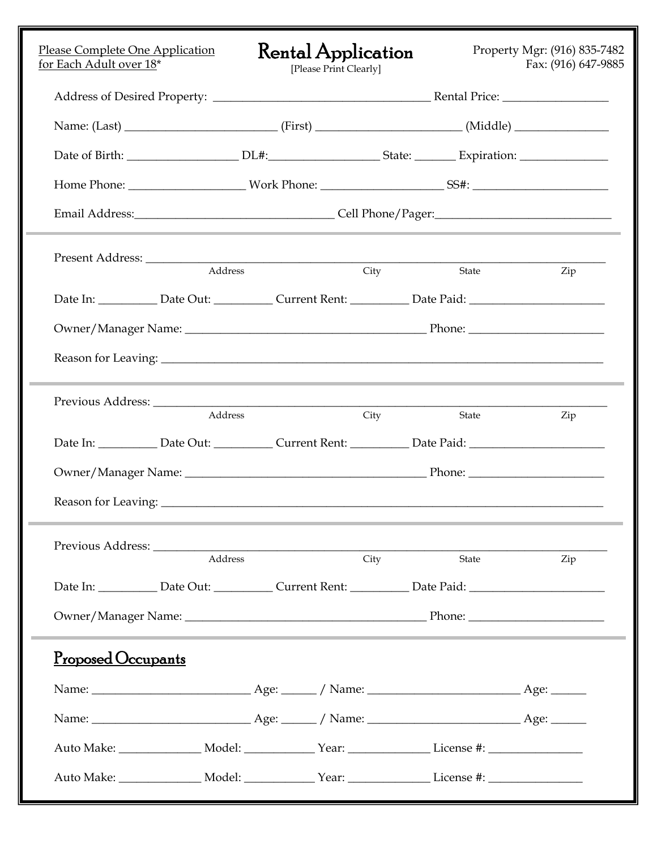| Please Complete One Application<br>for Each Adult over 18*                                                     | <b>Rental Application</b><br>[Please Print Clearly] |      |       | Property Mgr: (916) 835-7482<br>Fax: (916) 647-9885 |  |
|----------------------------------------------------------------------------------------------------------------|-----------------------------------------------------|------|-------|-----------------------------------------------------|--|
|                                                                                                                |                                                     |      |       |                                                     |  |
|                                                                                                                |                                                     |      |       |                                                     |  |
|                                                                                                                |                                                     |      |       |                                                     |  |
|                                                                                                                |                                                     |      |       |                                                     |  |
|                                                                                                                |                                                     |      |       |                                                     |  |
|                                                                                                                |                                                     |      |       |                                                     |  |
| Address                                                                                                        |                                                     | City | State | Zip                                                 |  |
| Date In: ____________ Date Out: ____________ Current Rent: ____________ Date Paid: ___________________________ |                                                     |      |       |                                                     |  |
|                                                                                                                |                                                     |      |       |                                                     |  |
|                                                                                                                |                                                     |      |       |                                                     |  |
|                                                                                                                |                                                     |      |       |                                                     |  |
| Address                                                                                                        |                                                     | City | State | Zip                                                 |  |
| Date In: ____________ Date Out: ____________ Current Rent: ___________ Date Paid: ____________________________ |                                                     |      |       |                                                     |  |
|                                                                                                                |                                                     |      |       |                                                     |  |
|                                                                                                                |                                                     |      |       |                                                     |  |
|                                                                                                                |                                                     |      |       |                                                     |  |
| Address                                                                                                        |                                                     | City | State | Zip                                                 |  |
| Date In: ____________ Date Out: ____________ Current Rent: ___________ Date Paid: ____________________________ |                                                     |      |       |                                                     |  |
|                                                                                                                |                                                     |      |       |                                                     |  |
| <u>Proposed Occupants</u>                                                                                      |                                                     |      |       |                                                     |  |
|                                                                                                                |                                                     |      |       |                                                     |  |
|                                                                                                                |                                                     |      |       |                                                     |  |
| Auto Make: ________________ Model: _____________ Year: ___________________License #: _______________           |                                                     |      |       |                                                     |  |
| Auto Make: _________________ Model: ______________ Year: __________________License #: ______________           |                                                     |      |       |                                                     |  |